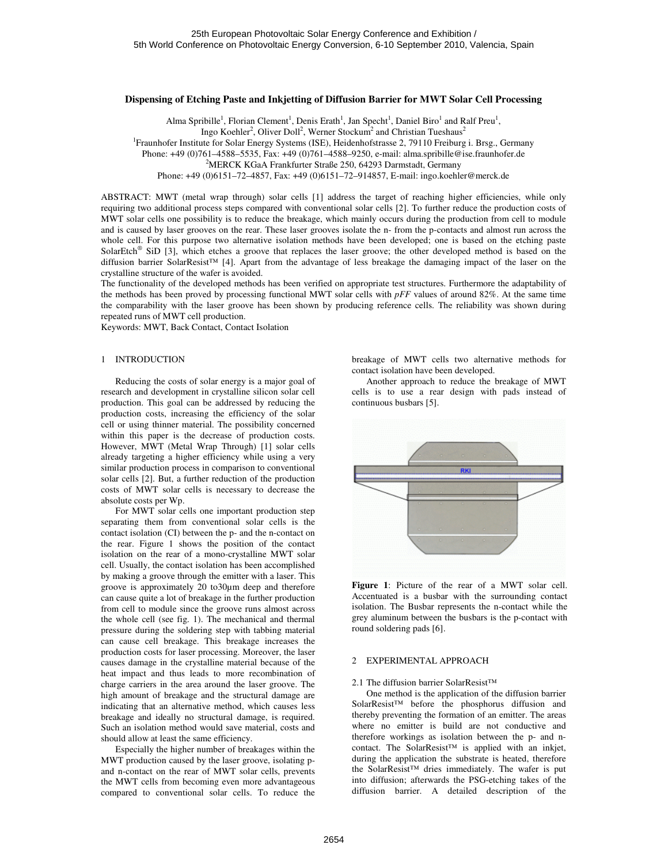#### **Dispensing of Etching Paste and Inkjetting of Diffusion Barrier for MWT Solar Cell Processing**

Alma Spribille<sup>1</sup>, Florian Clement<sup>1</sup>, Denis Erath<sup>1</sup>, Jan Specht<sup>1</sup>, Daniel Biro<sup>1</sup> and Ralf Preu<sup>1</sup>, Ingo Koehler<sup>2</sup>, Oliver Doll<sup>2</sup>, Werner Stockum<sup>2</sup> and Christian Tueshaus<sup>2</sup> <sup>1</sup>Fraunhofer Institute for Solar Energy Systems (ISE), Heidenhofstrasse 2, 79110 Freiburg i. Brsg., Germany Phone: +49 (0)761–4588–5535, Fax: +49 (0)761–4588–9250, e-mail: alma.spribille@ise.fraunhofer.de <sup>2</sup>MERCK KGaA Frankfurter Straße 250, 64293 Darmstadt, Germany

Phone: +49 (0)6151–72–4857, Fax: +49 (0)6151–72–914857, E-mail: ingo.koehler@merck.de

ABSTRACT: MWT (metal wrap through) solar cells [1] address the target of reaching higher efficiencies, while only requiring two additional process steps compared with conventional solar cells [2]. To further reduce the production costs of MWT solar cells one possibility is to reduce the breakage, which mainly occurs during the production from cell to module and is caused by laser grooves on the rear. These laser grooves isolate the n- from the p-contacts and almost run across the whole cell. For this purpose two alternative isolation methods have been developed; one is based on the etching paste SolarEtch<sup>®</sup> SiD [3], which etches a groove that replaces the laser groove; the other developed method is based on the diffusion barrier SolarResist™ [4]. Apart from the advantage of less breakage the damaging impact of the laser on the crystalline structure of the wafer is avoided.

The functionality of the developed methods has been verified on appropriate test structures. Furthermore the adaptability of the methods has been proved by processing functional MWT solar cells with *pFF* values of around 82%. At the same time the comparability with the laser groove has been shown by producing reference cells. The reliability was shown during repeated runs of MWT cell production.

Keywords: MWT, Back Contact, Contact Isolation

## 1 INTRODUCTION

 Reducing the costs of solar energy is a major goal of research and development in crystalline silicon solar cell production. This goal can be addressed by reducing the production costs, increasing the efficiency of the solar cell or using thinner material. The possibility concerned within this paper is the decrease of production costs. However, MWT (Metal Wrap Through) [1] solar cells already targeting a higher efficiency while using a very similar production process in comparison to conventional solar cells [2]. But, a further reduction of the production costs of MWT solar cells is necessary to decrease the absolute costs per Wp.

 For MWT solar cells one important production step separating them from conventional solar cells is the contact isolation (CI) between the p- and the n-contact on the rear. Figure 1 shows the position of the contact isolation on the rear of a mono-crystalline MWT solar cell. Usually, the contact isolation has been accomplished by making a groove through the emitter with a laser. This groove is approximately 20 to30µm deep and therefore can cause quite a lot of breakage in the further production from cell to module since the groove runs almost across the whole cell (see fig. 1). The mechanical and thermal pressure during the soldering step with tabbing material can cause cell breakage. This breakage increases the production costs for laser processing. Moreover, the laser causes damage in the crystalline material because of the heat impact and thus leads to more recombination of charge carriers in the area around the laser groove. The high amount of breakage and the structural damage are indicating that an alternative method, which causes less breakage and ideally no structural damage, is required. Such an isolation method would save material, costs and should allow at least the same efficiency.

 Especially the higher number of breakages within the MWT production caused by the laser groove, isolating pand n-contact on the rear of MWT solar cells, prevents the MWT cells from becoming even more advantageous compared to conventional solar cells. To reduce the

breakage of MWT cells two alternative methods for contact isolation have been developed.

 Another approach to reduce the breakage of MWT cells is to use a rear design with pads instead of continuous busbars [5].



**Figure 1**: Picture of the rear of a MWT solar cell. Accentuated is a busbar with the surrounding contact isolation. The Busbar represents the n-contact while the grey aluminum between the busbars is the p-contact with round soldering pads [6].

## 2 EXPERIMENTAL APPROACH

#### 2.1 The diffusion barrier SolarResist™

 One method is the application of the diffusion barrier SolarResist™ before the phosphorus diffusion and thereby preventing the formation of an emitter. The areas where no emitter is build are not conductive and therefore workings as isolation between the p- and ncontact. The SolarResist™ is applied with an inkjet, during the application the substrate is heated, therefore the SolarResist™ dries immediately. The wafer is put into diffusion; afterwards the PSG-etching takes of the diffusion barrier. A detailed description of the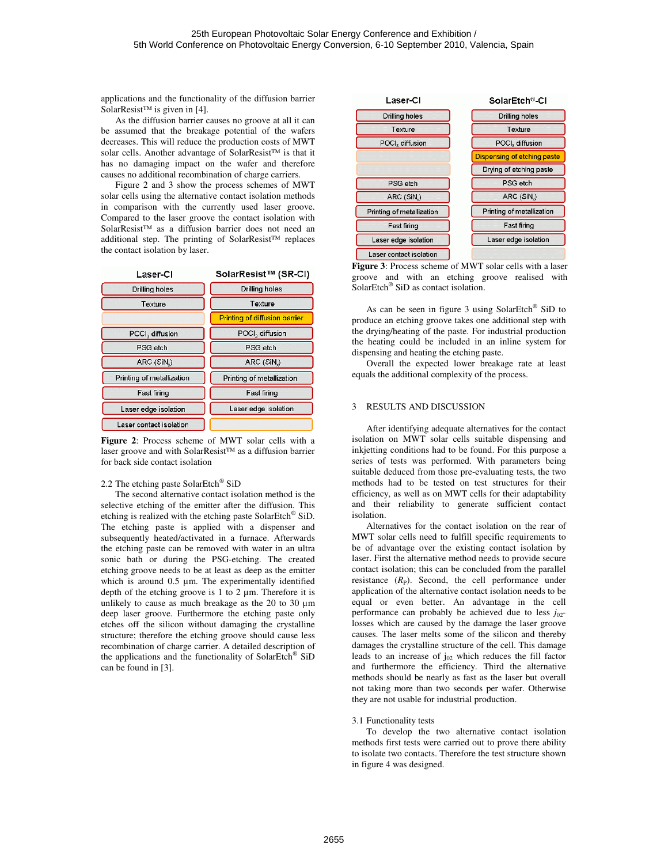applications and the functionality of the diffusion barrier SolarResist<sup>™</sup> is given in [4].

 As the diffusion barrier causes no groove at all it can be assumed that the breakage potential of the wafers decreases. This will reduce the production costs of MWT solar cells. Another advantage of SolarResist™ is that it has no damaging impact on the wafer and therefore causes no additional recombination of charge carriers.

 Figure 2 and 3 show the process schemes of MWT solar cells using the alternative contact isolation methods in comparison with the currently used laser groove. Compared to the laser groove the contact isolation with SolarResist™ as a diffusion barrier does not need an additional step. The printing of SolarResist™ replaces the contact isolation by laser.



**Figure 2**: Process scheme of MWT solar cells with a laser groove and with SolarResist™ as a diffusion barrier for back side contact isolation

# 2.2 The etching paste SolarEtch® SiD

 The second alternative contact isolation method is the selective etching of the emitter after the diffusion. This etching is realized with the etching paste SolarEtch® SiD. The etching paste is applied with a dispenser and subsequently heated/activated in a furnace. Afterwards the etching paste can be removed with water in an ultra sonic bath or during the PSG-etching. The created etching groove needs to be at least as deep as the emitter which is around 0.5  $\mu$ m. The experimentally identified depth of the etching groove is  $1$  to  $2 \mu$ m. Therefore it is unlikely to cause as much breakage as the 20 to 30 µm deep laser groove. Furthermore the etching paste only etches off the silicon without damaging the crystalline structure; therefore the etching groove should cause less recombination of charge carrier. A detailed description of the applications and the functionality of SolarEtch® SiD can be found in [3].



**Figure 3**: Process scheme of MWT solar cells with a laser groove and with an etching groove realised with SolarEtch® SiD as contact isolation.

 As can be seen in figure 3 using SolarEtch® SiD to produce an etching groove takes one additional step with the drying/heating of the paste. For industrial production the heating could be included in an inline system for dispensing and heating the etching paste.

 Overall the expected lower breakage rate at least equals the additional complexity of the process.

## 3 RESULTS AND DISCUSSION

 After identifying adequate alternatives for the contact isolation on MWT solar cells suitable dispensing and inkjetting conditions had to be found. For this purpose a series of tests was performed. With parameters being suitable deduced from those pre-evaluating tests, the two methods had to be tested on test structures for their efficiency, as well as on MWT cells for their adaptability and their reliability to generate sufficient contact isolation.

 Alternatives for the contact isolation on the rear of MWT solar cells need to fulfill specific requirements to be of advantage over the existing contact isolation by laser. First the alternative method needs to provide secure contact isolation; this can be concluded from the parallel resistance  $(R<sub>P</sub>)$ . Second, the cell performance under application of the alternative contact isolation needs to be equal or even better. An advantage in the cell performance can probably be achieved due to less  $j_{02}$ losses which are caused by the damage the laser groove causes. The laser melts some of the silicon and thereby damages the crystalline structure of the cell. This damage leads to an increase of  $j_{02}$  which reduces the fill factor and furthermore the efficiency. Third the alternative methods should be nearly as fast as the laser but overall not taking more than two seconds per wafer. Otherwise they are not usable for industrial production.

## 3.1 Functionality tests

 To develop the two alternative contact isolation methods first tests were carried out to prove there ability to isolate two contacts. Therefore the test structure shown in figure 4 was designed.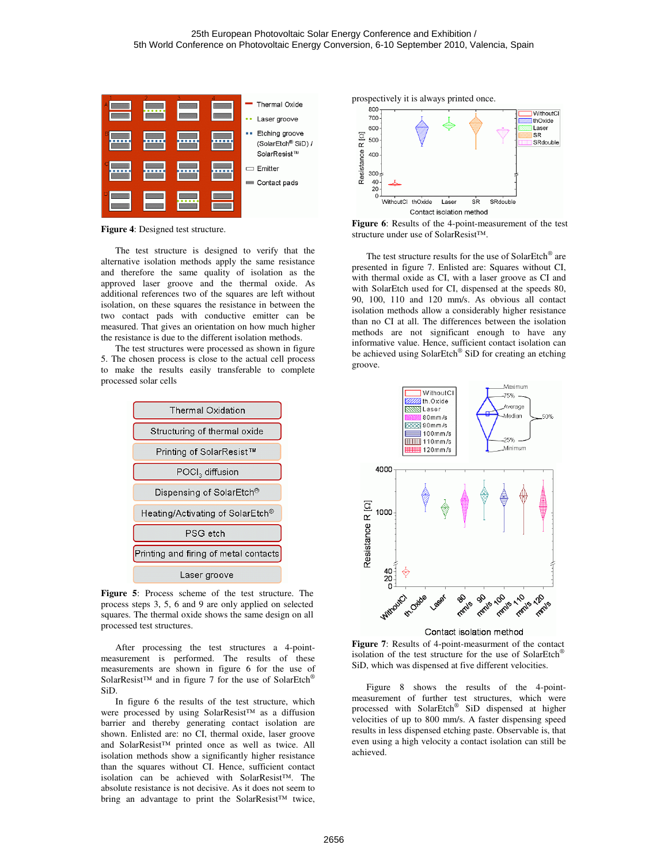

**Figure 4**: Designed test structure.

 The test structure is designed to verify that the alternative isolation methods apply the same resistance and therefore the same quality of isolation as the approved laser groove and the thermal oxide. As additional references two of the squares are left without isolation, on these squares the resistance in between the two contact pads with conductive emitter can be measured. That gives an orientation on how much higher the resistance is due to the different isolation methods.

 The test structures were processed as shown in figure 5. The chosen process is close to the actual cell process to make the results easily transferable to complete processed solar cells



**Figure 5**: Process scheme of the test structure. The process steps 3, 5, 6 and 9 are only applied on selected squares. The thermal oxide shows the same design on all processed test structures.

 After processing the test structures a 4-pointmeasurement is performed. The results of these measurements are shown in figure 6 for the use of SolarResist™ and in figure 7 for the use of SolarEtch<sup>®</sup> SiD.

 In figure 6 the results of the test structure, which were processed by using SolarResist™ as a diffusion barrier and thereby generating contact isolation are shown. Enlisted are: no CI, thermal oxide, laser groove and SolarResist™ printed once as well as twice. All isolation methods show a significantly higher resistance than the squares without CI. Hence, sufficient contact isolation can be achieved with SolarResist™. The absolute resistance is not decisive. As it does not seem to bring an advantage to print the SolarResist™ twice,





**Figure 6**: Results of the 4-point-measurement of the test structure under use of SolarResist™.

The test structure results for the use of SolarEtch<sup>®</sup> are presented in figure 7. Enlisted are: Squares without CI, with thermal oxide as CI, with a laser groove as CI and with SolarEtch used for CI, dispensed at the speeds 80, 90, 100, 110 and 120 mm/s. As obvious all contact isolation methods allow a considerably higher resistance than no CI at all. The differences between the isolation methods are not significant enough to have any informative value. Hence, sufficient contact isolation can be achieved using SolarEtch® SiD for creating an etching groove.



**Figure 7**: Results of 4-point-measurment of the contact isolation of the test structure for the use of SolarEtch® SiD, which was dispensed at five different velocities.

 Figure 8 shows the results of the 4-pointmeasurement of further test structures, which were processed with SolarEtch® SiD dispensed at higher velocities of up to 800 mm/s. A faster dispensing speed results in less dispensed etching paste. Observable is, that even using a high velocity a contact isolation can still be achieved.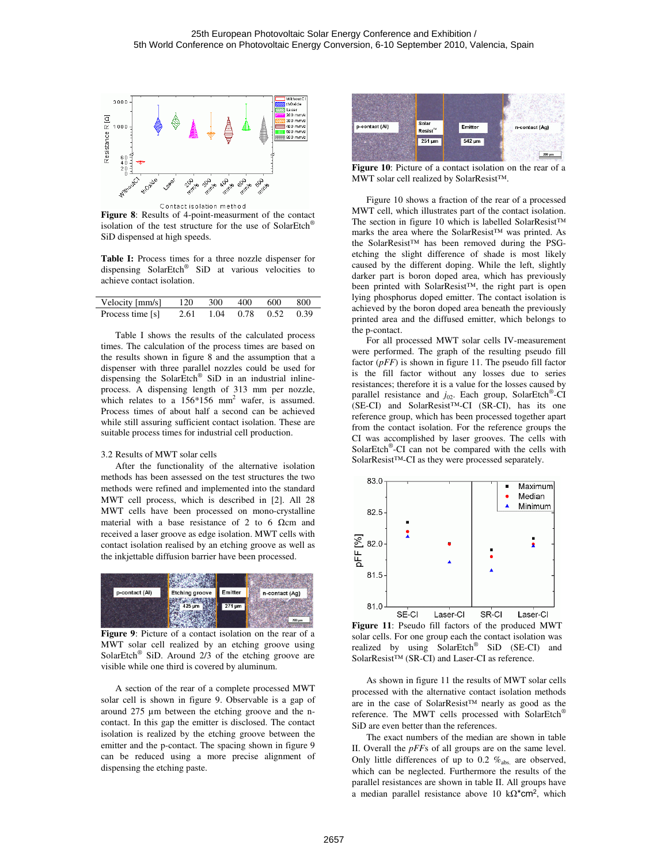

**Figure 8**: Results of 4-point-measurment of the contact isolation of the test structure for the use of SolarEtch® SiD dispensed at high speeds.

**Table I:** Process times for a three nozzle dispenser for dispensing SolarEtch® SiD at various velocities to achieve contact isolation.

| Velocity [mm/s]  | 120  | 300 | 400                 | 600 | -800 |
|------------------|------|-----|---------------------|-----|------|
| Process time [s] | 2.61 |     | 1.04 0.78 0.52 0.39 |     |      |

 Table I shows the results of the calculated process times. The calculation of the process times are based on the results shown in figure 8 and the assumption that a dispenser with three parallel nozzles could be used for dispensing the SolarEtch® SiD in an industrial inlineprocess. A dispensing length of 313 mm per nozzle, which relates to a  $156*156$  mm<sup>2</sup> wafer, is assumed. Process times of about half a second can be achieved while still assuring sufficient contact isolation. These are suitable process times for industrial cell production.

### 3.2 Results of MWT solar cells

 After the functionality of the alternative isolation methods has been assessed on the test structures the two methods were refined and implemented into the standard MWT cell process, which is described in [2]. All 28 MWT cells have been processed on mono-crystalline material with a base resistance of 2 to 6  $\Omega$ cm and received a laser groove as edge isolation. MWT cells with contact isolation realised by an etching groove as well as the inkjettable diffusion barrier have been processed.



**Figure 9**: Picture of a contact isolation on the rear of a MWT solar cell realized by an etching groove using SolarEtch<sup>®</sup> SiD. Around  $2/3$  of the etching groove are visible while one third is covered by aluminum.

 A section of the rear of a complete processed MWT solar cell is shown in figure 9. Observable is a gap of around 275 µm between the etching groove and the ncontact. In this gap the emitter is disclosed. The contact isolation is realized by the etching groove between the emitter and the p-contact. The spacing shown in figure 9 can be reduced using a more precise alignment of dispensing the etching paste.



**Figure 10**: Picture of a contact isolation on the rear of a MWT solar cell realized by SolarResist™.

 Figure 10 shows a fraction of the rear of a processed MWT cell, which illustrates part of the contact isolation. The section in figure 10 which is labelled SolarResist™ marks the area where the SolarResist™ was printed. As the SolarResist™ has been removed during the PSGetching the slight difference of shade is most likely caused by the different doping. While the left, slightly darker part is boron doped area, which has previously been printed with SolarResist™, the right part is open lying phosphorus doped emitter. The contact isolation is achieved by the boron doped area beneath the previously printed area and the diffused emitter, which belongs to the p-contact.

 For all processed MWT solar cells IV-measurement were performed. The graph of the resulting pseudo fill factor (*pFF*) is shown in figure 11. The pseudo fill factor is the fill factor without any losses due to series resistances; therefore it is a value for the losses caused by parallel resistance and  $j_{02}$ . Each group, SolarEtch<sup>®</sup>-CI (SE-CI) and SolarResist™-CI (SR-CI), has its one reference group, which has been processed together apart from the contact isolation. For the reference groups the CI was accomplished by laser grooves. The cells with SolarEtch® -CI can not be compared with the cells with SolarResist™-CI as they were processed separately.



**Figure 11**: Pseudo fill factors of the produced MWT solar cells. For one group each the contact isolation was realized by using SolarEtch<sup>®</sup> SiD (SE-CI) and SolarResist™ (SR-CI) and Laser-CI as reference.

 As shown in figure 11 the results of MWT solar cells processed with the alternative contact isolation methods are in the case of SolarResist™ nearly as good as the reference. The MWT cells processed with SolarEtch® SiD are even better than the references.

 The exact numbers of the median are shown in table II. Overall the *pFF*s of all groups are on the same level. Only little differences of up to 0.2  $\%$ <sub>abs.</sub> are observed, which can be neglected. Furthermore the results of the parallel resistances are shown in table II. All groups have a median parallel resistance above 10  $k\Omega^*$ cm<sup>2</sup>, which